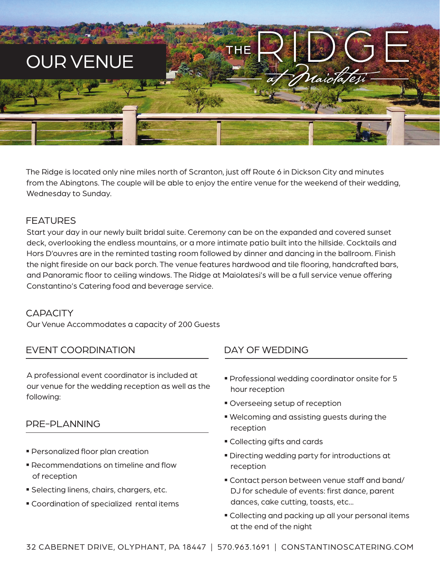

The Ridge is located only nine miles north of Scranton, just off Route 6 in Dickson City and minutes from the Abingtons. The couple will be able to enjoy the entire venue for the weekend of their wedding, Wednesday to Sunday.

## FEATURES

Start your day in our newly built bridal suite. Ceremony can be on the expanded and covered sunset deck, overlooking the endless mountains, or a more intimate patio built into the hillside. Cocktails and Hors D'ouvres are in the reminted tasting room followed by dinner and dancing in the ballroom. Finish the night fireside on our back porch. The venue features hardwood and tile flooring, handcrafted bars, and Panoramic floor to ceiling windows. The Ridge at Maiolatesi's will be a full service venue offering Constantino's Catering food and beverage service.

#### **CAPACITY**

Our Venue Accommodates a capacity of 200 Guests

## EVENT COORDINATION

A professional event coordinator is included at our venue for the wedding reception as well as the following:

#### PRE-PLANNING

- Personalized floor plan creation
- Recommendations on timeline and flow of reception
- **Selecting linens, chairs, chargers, etc.**
- Coordination of specialized rental items

# DAY OF WEDDING

- Professional wedding coordinator onsite for 5 hour reception
- **Overseeing setup of reception**
- Welcoming and assisting guests during the reception
- Collecting gifts and cards
- Directing wedding party for introductions at reception
- Contact person between venue staff and band/ DJ for schedule of events: first dance, parent dances, cake cutting, toasts, etc...
- Collecting and packing up all your personal items at the end of the night